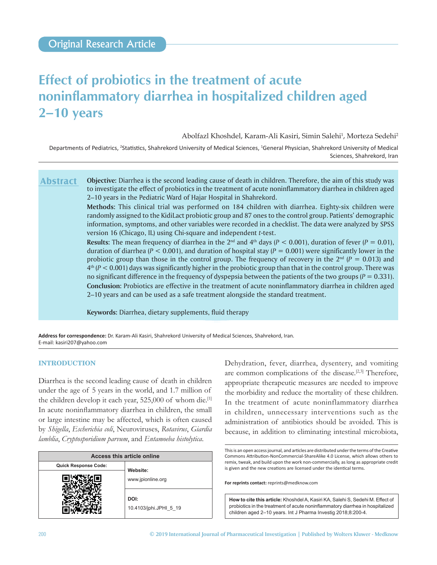# **Effect of probiotics in the treatment of acute noninflammatory diarrhea in hospitalized children aged 2–10 years**

Abolfazl Khoshdel, Karam-Ali Kasiri, Simin Salehi<sup>1</sup>, Morteza Sedehi<sup>2</sup>

Departments of Pediatrics, <sup>2</sup>Statistics, Shahrekord University of Medical Sciences, <sup>1</sup>General Physician, Shahrekord University of Medical Sciences, Shahrekord, Iran

**Objective:** Diarrhea is the second leading cause of death in children. Therefore, the aim of this study was to investigate the effect of probiotics in the treatment of acute noninflammatory diarrhea in children aged 2–10 years in the Pediatric Ward of Hajar Hospital in Shahrekord. **Abstract**

> **Methods:** This clinical trial was performed on 184 children with diarrhea. Eighty-six children were randomly assigned to the KidiLact probiotic group and 87 ones to the control group. Patients' demographic information, symptoms, and other variables were recorded in a checklist. The data were analyzed by SPSS version 16 (Chicago, IL) using Chi-square and independent *t*-test.

> **Results:** The mean frequency of diarrhea in the 2<sup>nd</sup> and 4<sup>th</sup> days ( $P < 0.001$ ), duration of fever ( $P = 0.01$ ), duration of diarrhea ( $P < 0.001$ ), and duration of hospital stay ( $P = 0.001$ ) were significantly lower in the probiotic group than those in the control group. The frequency of recovery in the  $2<sup>nd</sup>$  (*P* = 0.013) and 4th (*P* < 0.001) days was significantly higher in the probiotic group than that in the control group. There was no significant difference in the frequency of dyspepsia between the patients of the two groups ( $P = 0.331$ ). **Conclusion:** Probiotics are effective in the treatment of acute noninflammatory diarrhea in children aged 2–10 years and can be used as a safe treatment alongside the standard treatment.

**Keywords:** Diarrhea, dietary supplements, fluid therapy

**Address for correspondence:** Dr. Karam-Ali Kasiri, Shahrekord University of Medical Sciences, Shahrekord, Iran. E‑mail: kasiri207@yahoo.com

## **INTRODUCTION**

Diarrhea is the second leading cause of death in children under the age of 5 years in the world, and 1.7 million of the children develop it each year, 525,000 of whom die.<sup>[1]</sup> In acute noninflammatory diarrhea in children, the small or large intestine may be affected, which is often caused by *Shigella*, *Escherichia coli*, Neuroviruses, *Rotavirus*, *Giardia lamblia*, *Cryptosporidium parvum*, and *Entamoeba histolytica*.

| Access this article online  |                                |  |  |  |
|-----------------------------|--------------------------------|--|--|--|
| <b>Quick Response Code:</b> | Website:                       |  |  |  |
|                             | www.jpionline.org              |  |  |  |
|                             | DOI:<br>10.4103/jphi.JPHI_5_19 |  |  |  |

Dehydration, fever, diarrhea, dysentery, and vomiting are common complications of the disease.<sup>[2,3]</sup> Therefore, appropriate therapeutic measures are needed to improve the morbidity and reduce the mortality of these children. In the treatment of acute noninflammatory diarrhea in children, unnecessary interventions such as the administration of antibiotics should be avoided. This is because, in addition to eliminating intestinal microbiota,

**For reprints contact:** reprints@medknow.com

```
How to cite this article: Khoshdel A, Kasiri KA, Salehi S, Sedehi M. Effect of 
probiotics in the treatment of acute noninflammatory diarrhea in hospitalized 
children aged 2–10 years. Int J Pharma Investig 2018;8:200-4.
```
This is an open access journal, and articles are distributed under the terms of the Creative Commons Attribution‑NonCommercial‑ShareAlike 4.0 License, which allows others to remix, tweak, and build upon the work non‑commercially, as long as appropriate credit is given and the new creations are licensed under the identical terms.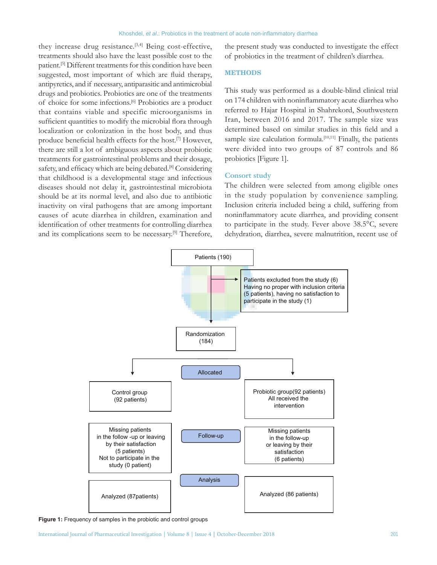they increase drug resistance.<sup>[3,4]</sup> Being cost-effective, treatments should also have the least possible cost to the patient.[5] Different treatments for this condition have been suggested, most important of which are fluid therapy, antipyretics, and if necessary, antiparasitic and antimicrobial drugs and probiotics. Probiotics are one of the treatments of choice for some infections.[6] Probiotics are a product that contains viable and specific microorganisms in sufficient quantities to modify the microbial flora through localization or colonization in the host body, and thus produce beneficial health effects for the host.[7] However, there are still a lot of ambiguous aspects about probiotic treatments for gastrointestinal problems and their dosage, safety, and efficacy which are being debated.<sup>[8]</sup> Considering that childhood is a developmental stage and infectious diseases should not delay it, gastrointestinal microbiota should be at its normal level, and also due to antibiotic inactivity on viral pathogens that are among important causes of acute diarrhea in children, examination and identification of other treatments for controlling diarrhea and its complications seem to be necessary.<sup>[9]</sup> Therefore,

the present study was conducted to investigate the effect of probiotics in the treatment of children's diarrhea.

## **METHODS**

This study was performed as a double-blind clinical trial on 174 children with noninflammatory acute diarrhea who referred to Hajar Hospital in Shahrekord, Southwestern Iran, between 2016 and 2017. The sample size was determined based on similar studies in this field and a sample size calculation formula.<sup>[10,11]</sup> Finally, the patients were divided into two groups of 87 controls and 86 probiotics [Figure 1].

## **Consort study**

The children were selected from among eligible ones in the study population by convenience sampling. Inclusion criteria included being a child, suffering from noninflammatory acute diarrhea, and providing consent to participate in the study. Fever above 38.5°C, severe dehydration, diarrhea, severe malnutrition, recent use of



**Figure 1:** Frequency of samples in the probiotic and control groups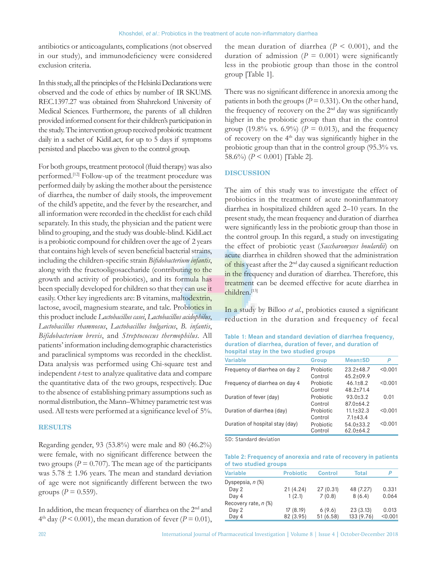antibiotics or anticoagulants, complications (not observed in our study), and immunodeficiency were considered exclusion criteria.

In this study, all the principles of the Helsinki Declarations were observed and the code of ethics by number of IR SKUMS. REC.1397.27 was obtained from Shahrekord University of Medical Sciences. Furthermore, the parents of all children provided informed consent for their children's participation in the study. The intervention group received probiotic treatment daily in a sachet of KidiLact, for up to 5 days if symptoms persisted and placebo was given to the control group.

For both groups, treatment protocol (fluid therapy) was also performed.[12] Follow-up of the treatment procedure was performed daily by asking the mother about the persistence of diarrhea, the number of daily stools, the improvement of the child's appetite, and the fever by the researcher, and all information were recorded in the checklist for each child separately. In this study, the physician and the patient were blind to grouping, and the study was double-blind. KidiLact is a probiotic compound for children over the age of 2 years that contains high levels of seven beneficial bacterial strains, including the children‑specific strain *Bifidobacterium infantis*, along with the fructooligosaccharide (contributing to the growth and activity of probiotics), and its formula has been specially developed for children so that they can use it easily. Other key ingredients are: B vitamins, maltodextrin, lactose, avocil, magnesium stearate, and talc. Probiotics in this product include *Lactobacillus casei*, *Lactobacillus acidophilus*, *Lactobacillus rhamnosus*, *Lactobacillus bulgaricus*, *B. infantis*, *Bifidobacterium brevis*, and *Streptococcus thermophilus*. All patients' information including demographic characteristics and paraclinical symptoms was recorded in the checklist. Data analysis was performed using Chi‑square test and independent *t*-test to analyze qualitative data and compare the quantitative data of the two groups, respectively. Due to the absence of establishing primary assumptions such as normal distribution, the Mann–Whitney parametric test was used. All tests were performed at a significance level of 5%.

## **RESULTS**

Regarding gender, 93 (53.8%) were male and 80 (46.2%) were female, with no significant difference between the two groups ( $P = 0.707$ ). The mean age of the participants was  $5.78 \pm 1.96$  years. The mean and standard deviation of age were not significantly different between the two groups ( $P = 0.559$ ).

In addition, the mean frequency of diarrhea on the 2<sup>nd</sup> and  $4<sup>th</sup>$  day (*P* < 0.001), the mean duration of fever (*P* = 0.01),

the mean duration of diarrhea  $(P < 0.001)$ , and the duration of admission ( $P = 0.001$ ) were significantly less in the probiotic group than those in the control group [Table 1].

There was no significant difference in anorexia among the patients in both the groups ( $P = 0.331$ ). On the other hand, the frequency of recovery on the 2nd day was significantly higher in the probiotic group than that in the control group (19.8% vs. 6.9%) ( $P = 0.013$ ), and the frequency of recovery on the  $4<sup>th</sup>$  day was significantly higher in the probiotic group than that in the control group (95.3% vs. 58.6%) (*P* < 0.001) [Table 2].

## **DISCUSSION**

The aim of this study was to investigate the effect of probiotics in the treatment of acute noninflammatory diarrhea in hospitalized children aged 2–10 years. In the present study, the mean frequency and duration of diarrhea were significantly less in the probiotic group than those in the control group. In this regard, a study on investigating the effect of probiotic yeast (*Saccharomyces boulardii*) on acute diarrhea in children showed that the administration of this yeast after the 2nd day caused a significant reduction in the frequency and duration of diarrhea. Therefore, this treatment can be deemed effective for acute diarrhea in children.[13]

In a study by Billoo *et al*., probiotics caused a significant reduction in the duration and frequency of fecal

**Table 1: Mean and standard deviation of diarrhea frequency, duration of diarrhea, duration of fever, and duration of hospital stay in the two studied groups**

| <b>Variable</b>                 | <b>Group</b> | <b>Mean</b> <sup>t</sup> SD | P       |
|---------------------------------|--------------|-----------------------------|---------|
| Frequency of diarrhea on day 2  | Probiotic    | $23.2 + 48.7$               | < 0.001 |
|                                 | Control      | $45.2 \pm 09.9$             |         |
| Frequency of diarrhea on day 4  | Probiotic    | $46.1 \pm 8.2$              | < 0.001 |
|                                 | Control      | $48.2 + 71.4$               |         |
| Duration of fever (day)         | Probiotic    | $93.0 + 3.2$                | 0.01    |
|                                 | Control      | $87.0 + 64.2$               |         |
| Duration of diarrhea (day)      | Probiotic    | $11.1 \pm 32.3$             | < 0.001 |
|                                 | Control      | $7.1 + 43.4$                |         |
| Duration of hospital stay (day) | Probiotic    | 54.0±33.2                   | < 0.001 |
|                                 | Control      | $62.0 \pm 64.2$             |         |

SD: Standard deviation

**Table 2: Frequency of anorexia and rate of recovery in patients of two studied groups**

| <b>Variable</b>      | <b>Probiotic</b> | <b>Control</b> | <b>Total</b> |         |
|----------------------|------------------|----------------|--------------|---------|
| Dyspepsia, n (%)     |                  |                |              |         |
| Day 2                | 21 (4.24)        | 27(0.31)       | 48 (7.27)    | 0.331   |
| Day 4                | 1(2.1)           | 7(0.8)         | 8(6.4)       | 0.064   |
| Recovery rate, n (%) |                  |                |              |         |
| Day 2                | 17(8.19)         | 6(9.6)         | 23(3.13)     | 0.013   |
| Day 4                | 82 (3.95)        | 51 (6.58)      | 133 (9.76)   | < 0.001 |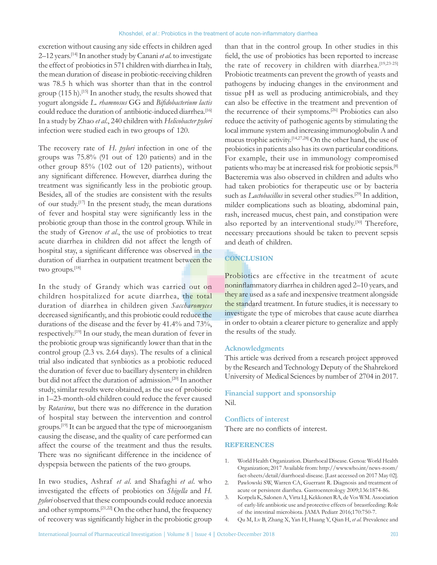#### Khoshdel, *et al*.: Probiotics in the treatment of acute non-inflammatory diarrhea

excretion without causing any side effects in children aged 2–12 years.[14] In another study by Canani *et al*. to investigate the effect of probiotics in 571 children with diarrhea in Italy, the mean duration of disease in probiotic-receiving children was 78.5 h which was shorter than that in the control group (115 h).[15] In another study, the results showed that yogurt alongside *L. rhamnosus* GG and *Bifidobacterium lactis* could reduce the duration of antibiotic-induced diarrhea.<sup>[16]</sup> In a study by Zhao *et al*., 240 children with *Helicobacter pylori* infection were studied each in two groups of 120.

The recovery rate of *H*. *pylori* infection in one of the groups was 75.8% (91 out of 120 patients) and in the other group 85% (102 out of 120 patients), without any significant difference. However, diarrhea during the treatment was significantly less in the probiotic group. Besides, all of the studies are consistent with the results of our study.[17] In the present study, the mean durations of fever and hospital stay were significantly less in the probiotic group than those in the control group. While in the study of Grenov *et al*., the use of probiotics to treat acute diarrhea in children did not affect the length of hospital stay, a significant difference was observed in the duration of diarrhea in outpatient treatment between the two groups.<sup>[18]</sup>

In the study of Grandy which was carried out on children hospitalized for acute diarrhea, the total duration of diarrhea in children given *Saccharomyces* decreased significantly, and this probiotic could reduce the durations of the disease and the fever by 41.4% and 73%, respectively.[19] In our study, the mean duration of fever in the probiotic group was significantly lower than that in the control group (2.3 vs. 2.64 days). The results of a clinical trial also indicated that synbiotics as a probiotic reduced the duration of fever due to bacillary dysentery in children but did not affect the duration of admission.[20] In another study, similar results were obtained, as the use of probiotic in 1–23‑month‑old children could reduce the fever caused by *Rotavirus*, but there was no difference in the duration of hospital stay between the intervention and control groups.[19] It can be argued that the type of microorganism causing the disease, and the quality of care performed can affect the course of the treatment and thus the results. There was no significant difference in the incidence of dyspepsia between the patients of the two groups.

In two studies, Ashraf *et al*. and Shafaghi *et al*. who investigated the effects of probiotics on *Shigella* and *H. pylori* observed that these compounds could reduce anorexia and other symptoms.[21,22] On the other hand, the frequency of recovery was significantly higher in the probiotic group than that in the control group. In other studies in this field, the use of probiotics has been reported to increase the rate of recovery in children with diarrhea.<sup>[19,23-25]</sup> Probiotic treatments can prevent the growth of yeasts and pathogens by inducing changes in the environment and tissue pH as well as producing antimicrobials, and they can also be effective in the treatment and prevention of the recurrence of their symptoms.[26] Probiotics can also reduce the activity of pathogenic agents by stimulating the local immune system and increasing immunoglobulin A and mucus trophic activity.[14,27,28] On the other hand, the use of probiotics in patients also has its own particular conditions. For example, their use in immunology compromised patients who may be at increased risk for probiotic sepsis.[8] Bacteremia was also observed in children and adults who had taken probiotics for therapeutic use or by bacteria such as *Lactobacillus* in several other studies.<sup>[29]</sup> In addition, milder complications such as bloating, abdominal pain, rash, increased mucus, chest pain, and constipation were also reported by an interventional study.<sup>[30]</sup> Therefore, necessary precautions should be taken to prevent sepsis and death of children.

# **CONCLUSION**

Probiotics are effective in the treatment of acute noninflammatory diarrhea in children aged 2–10 years, and they are used as a safe and inexpensive treatment alongside the standard treatment. In future studies, it is necessary to investigate the type of microbes that cause acute diarrhea in order to obtain a clearer picture to generalize and apply the results of the study.

## **Acknowledgments**

This article was derived from a research project approved by the Research and Technology Deputy of the Shahrekord University of Medical Sciences by number of 2704 in 2017.

## **Financial support and sponsorship** Nil.

## **Conflicts of interest**

There are no conflicts of interest.

## **REFERENCES**

- 1. World Health Organization. Diarrhoeal Disease. Genoa: World Health Organization; 2017 Available from: http://www.who.int/news-room/ fact-sheets/detail/diarrhoeal-disease. [Last accessed on 2017 May 02].
- 2. Pawlowski SW, Warren CA, Guerrant R. Diagnosis and treatment of acute or persistent diarrhea. Gastroenterology 2009;136:1874-86.
- 3. Korpela K, Salonen A, Virta LJ, Kekkonen RA, de Vos WM. Association of early-life antibiotic use and protective effects of breastfeeding: Role of the intestinal microbiota. JAMA Pediatr 2016;170:750-7.
- 4. Qu M, Lv B, Zhang X, Yan H, Huang Y, Qian H, *et al.* Prevalence and